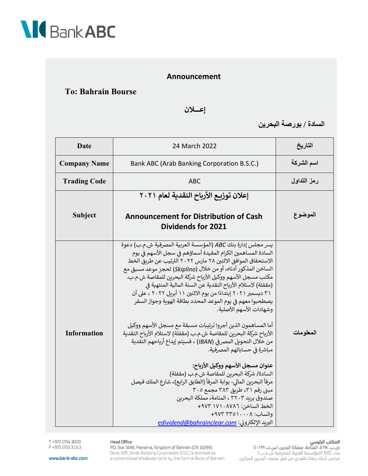

## Announcement

## **To: Bahrain Bourse**

إعسلان

السادة / بورصة البحرين

| <b>Date</b>         | 24 March 2022                                                                                                                                                                                                                                                                                                                                                                                                                                                                                                                                                                                                                                                                                                                                                                                                                                                                                                                                       | التاريخ     |
|---------------------|-----------------------------------------------------------------------------------------------------------------------------------------------------------------------------------------------------------------------------------------------------------------------------------------------------------------------------------------------------------------------------------------------------------------------------------------------------------------------------------------------------------------------------------------------------------------------------------------------------------------------------------------------------------------------------------------------------------------------------------------------------------------------------------------------------------------------------------------------------------------------------------------------------------------------------------------------------|-------------|
| <b>Company Name</b> | Bank ABC (Arab Banking Corporation B.S.C.)                                                                                                                                                                                                                                                                                                                                                                                                                                                                                                                                                                                                                                                                                                                                                                                                                                                                                                          | اسم الشركة  |
| <b>Trading Code</b> | <b>ABC</b>                                                                                                                                                                                                                                                                                                                                                                                                                                                                                                                                                                                                                                                                                                                                                                                                                                                                                                                                          | رمز التداول |
|                     | إعلان توزيع الأرباح النقدية لعام ٢٠٢١                                                                                                                                                                                                                                                                                                                                                                                                                                                                                                                                                                                                                                                                                                                                                                                                                                                                                                               |             |
| <b>Subject</b>      | <b>Announcement for Distribution of Cash</b><br><b>Dividends for 2021</b>                                                                                                                                                                                                                                                                                                                                                                                                                                                                                                                                                                                                                                                                                                                                                                                                                                                                           | الموضوع     |
| <b>Information</b>  | يسر مجلس إدارة بنك ABC (المؤسسة العربية المصرفية ش.م.ب) دعوة<br>السادة المساهمين الكرام المقيدة أسماؤهم في سجل الأسهم في يوم<br>الاستحقاق الموافق الاثنين ٢٨ مارس ٢٠٢٢ الترتيب عن طريق الخط<br>الساخن المذكور أدناه، أو من خلال (Skiplino) لحجز موعد مسبق مع<br>مكتب مسجل الأسهم ووكيل الأرباح شركة البحرين للمقاصة ش.م.ب.<br>(مقفلة) لاستلام الأرباح النقدية عن السنة المالية المنتهية في<br>٣١ ديسمبر ٢٠٢١ إبتداءًا من يوم الاثنين ١١ أبريل ٢٠٢٢ ، على أن<br>يصطحبوا معهم في يوم الموعد المحدد بطاقة الهوية وجواز السفر<br>وشهادات الأسهم الأصلية.<br>أما المساهمون الذين أجروا ترتيبات مسبقة مع مسجل الأسهم ووكيل<br>الأرباح شركة البحرين للمقاصة ش.م.ب (مقفلة) لاستلام الأرباح النقدية<br>من خلال التحويل المصر في (IBAN) ، فسيتم إيداع أرباحهم النقدية<br>مباشرة في حساباتهم المصرفية.<br>عنوان مسجل الأسهم ووكيل الأرباح:<br>السادة/ شركة البحرين للمقاصة ش.م.ب (مقفلة)<br>مرفأ البحرين المالي- بوابة المرفأ (الطابق الرابع)، شارع الملك فيصل | المعلومات   |
|                     | مبنی رقم ۳۱، طریق ۳۸۳ مجمع ۳۰۵<br>صندوق بربد ٣٢٠٣ ، المنامة، مملكة البحربن<br>الخط الساخن: ١٧١٠٨٧٨٦ ٢٩٧٣<br>واتساب: ٩٧٢ ٢٣٥١٠٠٨<br>البريد الإلكتروني: edividend@bahrainclear.com                                                                                                                                                                                                                                                                                                                                                                                                                                                                                                                                                                                                                                                                                                                                                                    |             |

## **المكتب الرئيسي**<br>ص.ب. ٦٩٩٨، المنامة، مملكة البحرين (س.ت. ٢٩٩٠ ١)<br>بنك ABC (المؤسسة العربية المصرفية ش.م.ب.)

مرخص كبنك جملة تقليدي من قبل مصرف البحرين المركزي

Head Office P.O. Box 5698, Manama, Kingdom of Bahrain (CR: 10299) Bank ABC (Arab Banking Corporation B.S.C.) is licensed as a conventional wholesale bank by the Central Bank of Bahrain

T +973 1754 3000 F +973 1753 3163